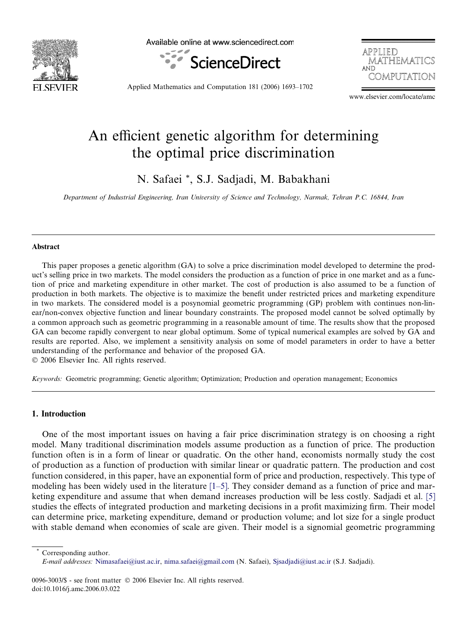

Available online at www.sciencedirect.com





Applied Mathematics and Computation 181 (2006) 1693–1702

www.elsevier.com/locate/amc

## An efficient genetic algorithm for determining the optimal price discrimination

N. Safaei \*, S.J. Sadjadi, M. Babakhani

Department of Industrial Engineering, Iran University of Science and Technology, Narmak, Tehran P.C. 16844, Iran

#### Abstract

This paper proposes a genetic algorithm (GA) to solve a price discrimination model developed to determine the product's selling price in two markets. The model considers the production as a function of price in one market and as a function of price and marketing expenditure in other market. The cost of production is also assumed to be a function of production in both markets. The objective is to maximize the benefit under restricted prices and marketing expenditure in two markets. The considered model is a posynomial geometric programming (GP) problem with continues non-linear/non-convex objective function and linear boundary constraints. The proposed model cannot be solved optimally by a common approach such as geometric programming in a reasonable amount of time. The results show that the proposed GA can become rapidly convergent to near global optimum. Some of typical numerical examples are solved by GA and results are reported. Also, we implement a sensitivity analysis on some of model parameters in order to have a better understanding of the performance and behavior of the proposed GA.

© 2006 Elsevier Inc. All rights reserved.

Keywords: Geometric programming; Genetic algorithm; Optimization; Production and operation management; Economics

## 1. Introduction

One of the most important issues on having a fair price discrimination strategy is on choosing a right model. Many traditional discrimination models assume production as a function of price. The production function often is in a form of linear or quadratic. On the other hand, economists normally study the cost of production as a function of production with similar linear or quadratic pattern. The production and cost function considered, in this paper, have an exponential form of price and production, respectively. This type of modeling has been widely used in the literature [\[1–5\].](#page--1-0) They consider demand as a function of price and marketing expenditure and assume that when demand increases production will be less costly. Sadjadi et al. [\[5\]](#page--1-0) studies the effects of integrated production and marketing decisions in a profit maximizing firm. Their model can determine price, marketing expenditure, demand or production volume; and lot size for a single product with stable demand when economies of scale are given. Their model is a signomial geometric programming

Corresponding author.

E-mail addresses: [Nimasafaei@iust.ac.ir](mailto:Nimasafaei@iust.ac.ir), [nima.safaei@gmail.com](mailto:nima.safaei@gmail.com) (N. Safaei), [Sjsadjadi@iust.ac.ir](mailto:Sjsadjadi@iust.ac.ir) (S.J. Sadjadi).

<sup>0096-3003/\$ -</sup> see front matter © 2006 Elsevier Inc. All rights reserved. doi:10.1016/j.amc.2006.03.022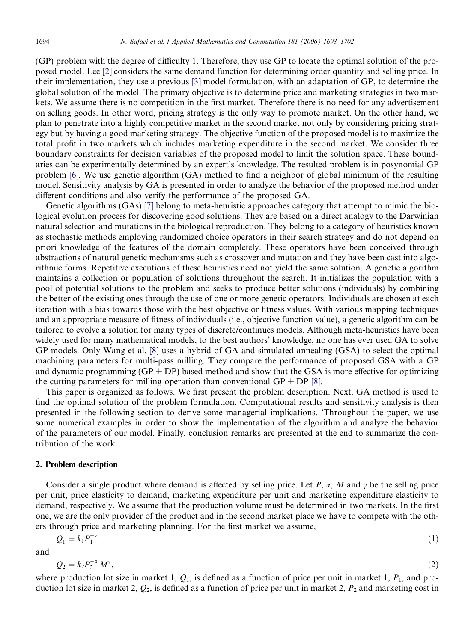(GP) problem with the degree of difficulty 1. Therefore, they use GP to locate the optimal solution of the proposed model. Lee [\[2\]](#page--1-0) considers the same demand function for determining order quantity and selling price. In their implementation, they use a previous [\[3\]](#page--1-0) model formulation, with an adaptation of GP, to determine the global solution of the model. The primary objective is to determine price and marketing strategies in two markets. We assume there is no competition in the first market. Therefore there is no need for any advertisement on selling goods. In other word, pricing strategy is the only way to promote market. On the other hand, we plan to penetrate into a highly competitive market in the second market not only by considering pricing strategy but by having a good marketing strategy. The objective function of the proposed model is to maximize the total profit in two markets which includes marketing expenditure in the second market. We consider three boundary constraints for decision variables of the proposed model to limit the solution space. These boundaries can be experimentally determined by an expert's knowledge. The resulted problem is in posynomial GP problem [\[6\].](#page--1-0) We use genetic algorithm (GA) method to find a neighbor of global minimum of the resulting model. Sensitivity analysis by GA is presented in order to analyze the behavior of the proposed method under different conditions and also verify the performance of the proposed GA.

Genetic algorithms (GAs) [\[7\]](#page--1-0) belong to meta-heuristic approaches category that attempt to mimic the biological evolution process for discovering good solutions. They are based on a direct analogy to the Darwinian natural selection and mutations in the biological reproduction. They belong to a category of heuristics known as stochastic methods employing randomized choice operators in their search strategy and do not depend on priori knowledge of the features of the domain completely. These operators have been conceived through abstractions of natural genetic mechanisms such as crossover and mutation and they have been cast into algorithmic forms. Repetitive executions of these heuristics need not yield the same solution. A genetic algorithm maintains a collection or population of solutions throughout the search. It initializes the population with a pool of potential solutions to the problem and seeks to produce better solutions (individuals) by combining the better of the existing ones through the use of one or more genetic operators. Individuals are chosen at each iteration with a bias towards those with the best objective or fitness values. With various mapping techniques and an appropriate measure of fitness of individuals (i.e., objective function value), a genetic algorithm can be tailored to evolve a solution for many types of discrete/continues models. Although meta-heuristics have been widely used for many mathematical models, to the best authors' knowledge, no one has ever used GA to solve GP models. Only Wang et al. [\[8\]](#page--1-0) uses a hybrid of GA and simulated annealing (GSA) to select the optimal machining parameters for multi-pass milling. They compare the performance of proposed GSA with a GP and dynamic programming  $(GP + DP)$  based method and show that the GSA is more effective for optimizing the cutting parameters for milling operation than conventional  $GP + DP$  [\[8\].](#page--1-0)

This paper is organized as follows. We first present the problem description. Next, GA method is used to find the optimal solution of the problem formulation. Computational results and sensitivity analysis is then presented in the following section to derive some managerial implications. 'Throughout the paper, we use some numerical examples in order to show the implementation of the algorithm and analyze the behavior of the parameters of our model. Finally, conclusion remarks are presented at the end to summarize the contribution of the work.

### 2. Problem description

Consider a single product where demand is affected by selling price. Let P,  $\alpha$ , M and  $\gamma$  be the selling price per unit, price elasticity to demand, marketing expenditure per unit and marketing expenditure elasticity to demand, respectively. We assume that the production volume must be determined in two markets. In the first one, we are the only provider of the product and in the second market place we have to compete with the others through price and marketing planning. For the first market we assume,

$$
Q_1 = k_1 P_1^{-\alpha_1} \tag{1}
$$

and

$$
Q_2 = k_2 P_2^{-\alpha_1} M^\gamma, \tag{2}
$$

where production lot size in market 1,  $Q_1$ , is defined as a function of price per unit in market 1,  $P_1$ , and production lot size in market 2,  $Q_2$ , is defined as a function of price per unit in market 2,  $P_2$  and marketing cost in